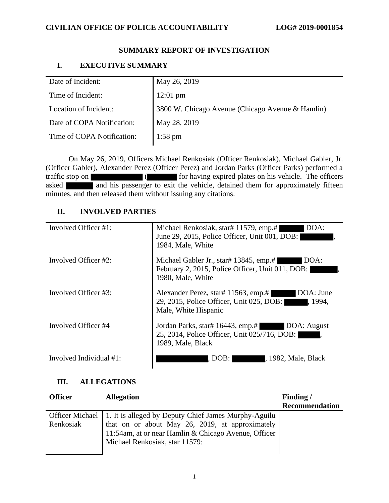#### **SUMMARY REPORT OF INVESTIGATION**

### **I. EXECUTIVE SUMMARY**

| 3800 W. Chicago Avenue (Chicago Avenue & Hamlin) |
|--------------------------------------------------|
|                                                  |
|                                                  |
|                                                  |

On May 26, 2019, Officers Michael Renkosiak (Officer Renkosiak), Michael Gabler, Jr. (Officer Gabler), Alexander Perez (Officer Perez) and Jordan Parks (Officer Parks) performed a traffic stop on (**for having expired plates on his vehicle.** The officers asked and his passenger to exit the vehicle, detained them for approximately fifteen minutes, and then released them without issuing any citations.

# **II. INVOLVED PARTIES**

| Involved Officer #1:    | Michael Renkosiak, star# 11579, emp.#<br>DOA:<br>June 29, 2015, Police Officer, Unit 001, DOB:<br>1984, Male, White             |
|-------------------------|---------------------------------------------------------------------------------------------------------------------------------|
| Involved Officer #2:    | Michael Gabler Jr., star# 13845, emp.#<br>DOA:<br>February 2, 2015, Police Officer, Unit 011, DOB:<br>1980, Male, White         |
| Involved Officer #3:    | Alexander Perez, star# 11563, emp.#<br>DOA: June<br>29, 2015, Police Officer, Unit 025, DOB:<br>, 1994,<br>Male, White Hispanic |
| Involved Officer #4     | Jordan Parks, star# 16443, emp.#<br>DOA: August<br>25, 2014, Police Officer, Unit 025/716, DOB:<br>1989, Male, Black            |
| Involved Individual #1: | , 1982, Male, Black<br>. DOB:                                                                                                   |

# **III. ALLEGATIONS**

| <b>Officer</b> | <b>Allegation</b>                                                                                                                                                                                                   | Finding/              |
|----------------|---------------------------------------------------------------------------------------------------------------------------------------------------------------------------------------------------------------------|-----------------------|
|                |                                                                                                                                                                                                                     | <b>Recommendation</b> |
| Renkosiak      | Officer Michael   1. It is alleged by Deputy Chief James Murphy-Aguilu<br>that on or about May 26, 2019, at approximately<br>11:54am, at or near Hamlin & Chicago Avenue, Officer<br>Michael Renkosiak, star 11579: |                       |
|                |                                                                                                                                                                                                                     |                       |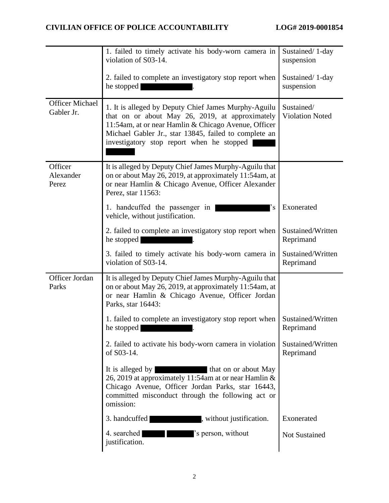|                                      | 1. failed to timely activate his body-worn camera in<br>violation of S03-14.                                                                                                                                                                                          | Sustained/1-day<br>suspension        |
|--------------------------------------|-----------------------------------------------------------------------------------------------------------------------------------------------------------------------------------------------------------------------------------------------------------------------|--------------------------------------|
|                                      | 2. failed to complete an investigatory stop report when<br>he stopped                                                                                                                                                                                                 | Sustained/1-day<br>suspension        |
| <b>Officer Michael</b><br>Gabler Jr. | 1. It is alleged by Deputy Chief James Murphy-Aguilu<br>that on or about May 26, 2019, at approximately<br>11:54am, at or near Hamlin & Chicago Avenue, Officer<br>Michael Gabler Jr., star 13845, failed to complete an<br>investigatory stop report when he stopped | Sustained/<br><b>Violation Noted</b> |
| Officer<br>Alexander<br>Perez        | It is alleged by Deputy Chief James Murphy-Aguilu that<br>on or about May 26, 2019, at approximately 11:54am, at<br>or near Hamlin & Chicago Avenue, Officer Alexander<br>Perez, star 11563:                                                                          |                                      |
|                                      | 1. handcuffed the passenger in<br>$\cdot_{\rm s}$<br>vehicle, without justification.                                                                                                                                                                                  | Exonerated                           |
|                                      | 2. failed to complete an investigatory stop report when<br>he stopped                                                                                                                                                                                                 | Sustained/Written<br>Reprimand       |
|                                      | 3. failed to timely activate his body-worn camera in<br>violation of S03-14.                                                                                                                                                                                          | Sustained/Written<br>Reprimand       |
| Officer Jordan<br>Parks              | It is alleged by Deputy Chief James Murphy-Aguilu that<br>on or about May 26, 2019, at approximately 11:54am, at<br>or near Hamlin & Chicago Avenue, Officer Jordan<br>Parks, star 16443:                                                                             |                                      |
|                                      | 1. failed to complete an investigatory stop report when<br>he stopped                                                                                                                                                                                                 | Sustained/Written<br>Reprimand       |
|                                      | 2. failed to activate his body-worn camera in violation<br>of S03-14.                                                                                                                                                                                                 | Sustained/Written<br>Reprimand       |
|                                      | It is alleged by<br>that on or about May<br>26, 2019 at approximately 11:54am at or near Hamlin &<br>Chicago Avenue, Officer Jordan Parks, star 16443,<br>committed misconduct through the following act or<br>omission:                                              |                                      |
|                                      | 3. handcuffed<br>, without justification.                                                                                                                                                                                                                             | Exonerated                           |
|                                      | 4. searched<br>'s person, without<br>justification.                                                                                                                                                                                                                   | Not Sustained                        |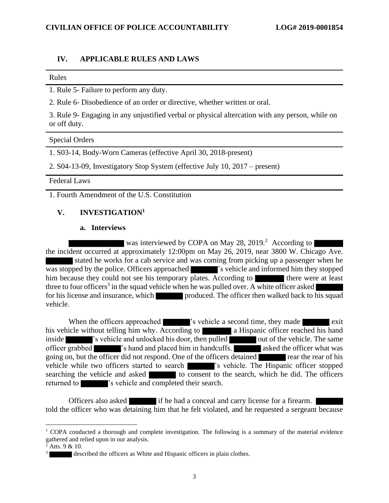### **IV. APPLICABLE RULES AND LAWS**

#### Rules

1. Rule 5- Failure to perform any duty.

2. Rule 6- Disobedience of an order or directive, whether written or oral.

3. Rule 9- Engaging in any unjustified verbal or physical altercation with any person, while on or off duty.

#### Special Orders

1. S03-14, Body-Worn Cameras (effective April 30, 2018-present)

2. S04-13-09, Investigatory Stop System (effective July 10, 2017 – present)

Federal Laws

1. Fourth Amendment of the U.S. Constitution

### **V. INVESTIGATION<sup>1</sup>**

#### **a. Interviews**

was interviewed by COPA on May 28, 2019.<sup>2</sup> According to the incident occurred at approximately 12:00pm on May 26, 2019, near 3800 W. Chicago Ave. stated he works for a cab service and was coming from picking up a passenger when he was stopped by the police. Officers approached  $\blacksquare$  's vehicle and informed him they stopped him because they could not see his temporary plates. According to there were at least three to four officers<sup>3</sup> in the squad vehicle when he was pulled over. A white officer asked for his license and insurance, which produced. The officer then walked back to his squad vehicle.

When the officers approached **'s** vehicle a second time, they made exit his vehicle without telling him why. According to a Hispanic officer reached his hand inside 's vehicle and unlocked his door, then pulled out of the vehicle. The same officer grabbed  $\blacksquare$  's hand and placed him in handcuffs. asked the officer what was going on, but the officer did not respond. One of the officers detained rear the rear of his vehicle while two officers started to search 's vehicle. The Hispanic officer stopped searching the vehicle and asked to consent to the search, which he did. The officers returned to  $\sim$  's vehicle and completed their search.

Officers also asked if he had a conceal and carry license for a firearm. told the officer who was detaining him that he felt violated, and he requested a sergeant because

 $1$  COPA conducted a thorough and complete investigation. The following is a summary of the material evidence gathered and relied upon in our analysis.

 $2$  Atts. 9 & 10.

<sup>3</sup> described the officers as White and Hispanic officers in plain clothes.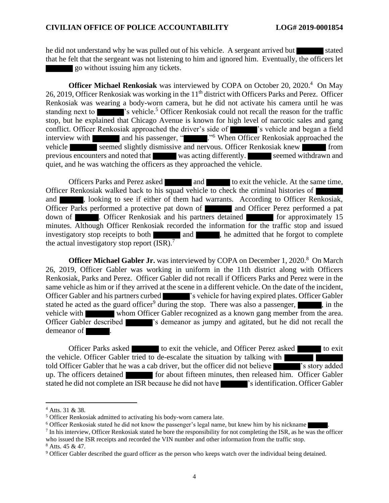he did not understand why he was pulled out of his vehicle. A sergeant arrived but stated that he felt that the sergeant was not listening to him and ignored him. Eventually, the officers let go without issuing him any tickets.

**Officer Michael Renkosiak** was interviewed by COPA on October 20, 2020.<sup>4</sup> On May 26, 2019, Officer Renkosiak was working in the 11<sup>th</sup> district with Officers Parks and Perez. Officer Renkosiak was wearing a body-worn camera, but he did not activate his camera until he was standing next to  $\blacksquare$  's vehicle.<sup>5</sup> Officer Renkosiak could not recall the reason for the traffic stop, but he explained that Chicago Avenue is known for high level of narcotic sales and gang conflict. Officer Renkosiak approached the driver's side of **'s** vehicle and began a field interview with and his passenger, " ." <sup>6</sup> When Officer Renkosiak approached the vehicle seemed slightly dismissive and nervous. Officer Renkosiak knew from previous encounters and noted that was acting differently. Seemed withdrawn and quiet, and he was watching the officers as they approached the vehicle.

Officers Parks and Perez asked and and to exit the vehicle. At the same time, Officer Renkosiak walked back to his squad vehicle to check the criminal histories of and state and state if either of them had warrants. According to Officer Renkosiak, Officer Parks performed a protective pat down of and Officer Perez performed a pat down of **Exercise**. Officer Renkosiak and his partners detained for approximately 15 minutes. Although Officer Renkosiak recorded the information for the traffic stop and issued investigatory stop receipts to both  $\Box$  and  $\Box$ , he admitted that he forgot to complete the actual investigatory stop report  $(ISR)$ .<sup>7</sup>

**Officer Michael Gabler Jr.** was interviewed by COPA on December 1, 2020.<sup>8</sup> On March 26, 2019, Officer Gabler was working in uniform in the 11th district along with Officers Renkosiak, Parks and Perez. Officer Gabler did not recall if Officers Parks and Perez were in the same vehicle as him or if they arrived at the scene in a different vehicle. On the date of the incident, Officer Gabler and his partners curbed 's vehicle for having expired plates. Officer Gabler stated he acted as the guard officer<sup>9</sup> during the stop. There was also a passenger,  $\blacksquare$ , in the vehicle with whom Officer Gabler recognized as a known gang member from the area. Officer Gabler described **'s** demeanor as jumpy and agitated, but he did not recall the demeanor of  $\blacksquare$ 

Officer Parks asked to exit the vehicle, and Officer Perez asked to exit the vehicle. Officer Gabler tried to de-escalate the situation by talking with told Officer Gabler that he was a cab driver, but the officer did not believe 's story added up. The officers detained for about fifteen minutes, then released him. Officer Gabler stated he did not complete an ISR because he did not have 's identification. Officer Gabler

<sup>4</sup> Atts. 31 & 38.

<sup>5</sup> Officer Renkosiak admitted to activating his body-worn camera late.

<sup>&</sup>lt;sup>6</sup> Officer Renkosiak stated he did not know the passenger's legal name, but knew him by his nickname

 $<sup>7</sup>$  In his interview, Officer Renkosiak stated he bore the responsibility for not completing the ISR, as he was the officer</sup> who issued the ISR receipts and recorded the VIN number and other information from the traffic stop.

 $8$  Atts. 45 & 47.

<sup>9</sup> Officer Gabler described the guard officer as the person who keeps watch over the individual being detained.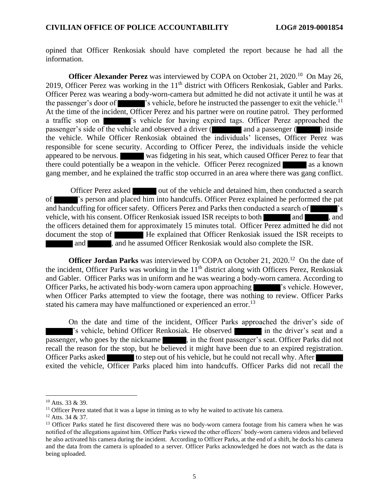opined that Officer Renkosiak should have completed the report because he had all the information.

**Officer Alexander Perez** was interviewed by COPA on October 21, 2020.<sup>10</sup> On May 26, 2019, Officer Perez was working in the  $11<sup>th</sup>$  district with Officers Renkosiak, Gabler and Parks. Officer Perez was wearing a body-worn-camera but admitted he did not activate it until he was at the passenger's door of  $\blacksquare$  's vehicle, before he instructed the passenger to exit the vehicle.<sup>11</sup> At the time of the incident, Officer Perez and his partner were on routine patrol. They performed a traffic stop on  $\blacksquare$  's vehicle for having expired tags. Officer Perez approached the passenger's side of the vehicle and observed a driver (and a passenger (and ) inside the vehicle. While Officer Renkosiak obtained the individuals' licenses, Officer Perez was responsible for scene security. According to Officer Perez, the individuals inside the vehicle appeared to be nervous. was fidgeting in his seat, which caused Officer Perez to fear that there could potentially be a weapon in the vehicle. Officer Perez recognized as a known gang member, and he explained the traffic stop occurred in an area where there was gang conflict.

Officer Perez asked out of the vehicle and detained him, then conducted a search of 's person and placed him into handcuffs. Officer Perez explained he performed the pat and handcuffing for officer safety. Officers Perez and Parks then conducted a search of 's vehicle, with his consent. Officer Renkosiak issued ISR receipts to both and and , and the officers detained them for approximately 15 minutes total. Officer Perez admitted he did not document the stop of **He** explained that Officer Renkosiak issued the ISR receipts to and **and he assumed Officer Renkosiak would also complete the ISR.** 

**Officer Jordan Parks** was interviewed by COPA on October 21, 2020.<sup>12</sup> On the date of the incident, Officer Parks was working in the  $11<sup>th</sup>$  district along with Officers Perez, Renkosiak and Gabler. Officer Parks was in uniform and he was wearing a body-worn camera. According to Officer Parks, he activated his body-worn camera upon approaching 's vehicle. However, when Officer Parks attempted to view the footage, there was nothing to review. Officer Parks stated his camera may have malfunctioned or experienced an error.<sup>13</sup>

On the date and time of the incident, Officer Parks approached the driver's side of 's vehicle, behind Officer Renkosiak. He observed in the driver's seat and a passenger, who goes by the nickname  $\blacksquare$ , in the front passenger's seat. Officer Parks did not recall the reason for the stop, but he believed it might have been due to an expired registration. Officer Parks asked to step out of his vehicle, but he could not recall why. After exited the vehicle, Officer Parks placed him into handcuffs. Officer Parks did not recall the

<sup>10</sup> Atts. 33 & 39.

 $11$  Officer Perez stated that it was a lapse in timing as to why he waited to activate his camera.

<sup>12</sup> Atts. 34 & 37.

<sup>&</sup>lt;sup>13</sup> Officer Parks stated he first discovered there was no body-worn camera footage from his camera when he was notified of the allegations against him. Officer Parks viewed the other officers' body-worn camera videos and believed he also activated his camera during the incident. According to Officer Parks, at the end of a shift, he docks his camera and the data from the camera is uploaded to a server. Officer Parks acknowledged he does not watch as the data is being uploaded.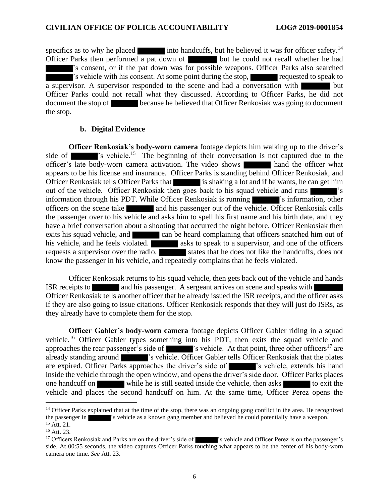specifics as to why he placed into handcuffs, but he believed it was for officer safety.<sup>14</sup> Officer Parks then performed a pat down of but he could not recall whether he had 's consent, or if the pat down was for possible weapons. Officer Parks also searched 's vehicle with his consent. At some point during the stop, requested to speak to a supervisor. A supervisor responded to the scene and had a conversation with but Officer Parks could not recall what they discussed. According to Officer Parks, he did not document the stop of because he believed that Officer Renkosiak was going to document the stop.

#### **b. Digital Evidence**

**Officer Renkosiak's body-worn camera** footage depicts him walking up to the driver's side of **'s** vehicle.<sup>15</sup> The beginning of their conversation is not captured due to the officer's late body-worn camera activation. The video shows hand the officer what appears to be his license and insurance. Officer Parks is standing behind Officer Renkosiak, and Officer Renkosiak tells Officer Parks that is shaking a lot and if he wants, he can get him out of the vehicle. Officer Renkosiak then goes back to his squad vehicle and runs  $\sim$  's information through his PDT. While Officer Renkosiak is running 's information, other officers on the scene take and his passenger out of the vehicle. Officer Renkosiak calls the passenger over to his vehicle and asks him to spell his first name and his birth date, and they have a brief conversation about a shooting that occurred the night before. Officer Renkosiak then exits his squad vehicle, and can be heard complaining that officers snatched him out of his vehicle, and he feels violated. and asks to speak to a supervisor, and one of the officers requests a supervisor over the radio. states that he does not like the handcuffs, does not know the passenger in his vehicle, and repeatedly complains that he feels violated.

Officer Renkosiak returns to his squad vehicle, then gets back out of the vehicle and hands ISR receipts to and his passenger. A sergeant arrives on scene and speaks with Officer Renkosiak tells another officer that he already issued the ISR receipts, and the officer asks if they are also going to issue citations. Officer Renkosiak responds that they will just do ISRs, as they already have to complete them for the stop.

**Officer Gabler's body-worn camera** footage depicts Officer Gabler riding in a squad vehicle.<sup>16</sup> Officer Gabler types something into his PDT, then exits the squad vehicle and approaches the rear passenger's side of  $\blacksquare$  's vehicle. At that point, three other officers<sup>17</sup> are already standing around 's vehicle. Officer Gabler tells Officer Renkosiak that the plates are expired. Officer Parks approaches the driver's side of 's vehicle, extends his hand inside the vehicle through the open window, and opens the driver's side door. Officer Parks places one handcuff on while he is still seated inside the vehicle, then asks to exit the vehicle and places the second handcuff on him. At the same time, Officer Perez opens the

 $<sup>14</sup>$  Officer Parks explained that at the time of the stop, there was an ongoing gang conflict in the area. He recognized</sup> the passenger in 's vehicle as a known gang member and believed he could potentially have a weapon.

<sup>15</sup> Att. 21.

<sup>16</sup> Att. 23.

<sup>&</sup>lt;sup>17</sup> Officers Renkosiak and Parks are on the driver's side of 's vehicle and Officer Perez is on the passenger's side. At 00:55 seconds, the video captures Officer Parks touching what appears to be the center of his body-worn camera one time. *See* Att. 23.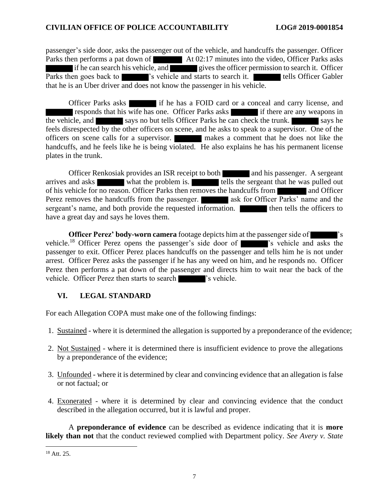### **CIVILIAN OFFICE OF POLICE ACCOUNTABILITY LOG# 2019-0001854**

passenger's side door, asks the passenger out of the vehicle, and handcuffs the passenger. Officer Parks then performs a pat down of At 02:17 minutes into the video, Officer Parks asks if he can search his vehicle, and gives the officer permission to search it. Officer Parks then goes back to 's vehicle and starts to search it. The tells Officer Gabler that he is an Uber driver and does not know the passenger in his vehicle.

Officer Parks asks if he has a FOID card or a conceal and carry license, and responds that his wife has one. Officer Parks asks if there are any weapons in the vehicle, and says no but tells Officer Parks he can check the trunk. feels disrespected by the other officers on scene, and he asks to speak to a supervisor. One of the officers on scene calls for a supervisor. makes a comment that he does not like the handcuffs, and he feels like he is being violated. He also explains he has his permanent license plates in the trunk.

Officer Renkosiak provides an ISR receipt to both and his passenger. A sergeant arrives and asks what the problem is. tells the sergeant that he was pulled out of his vehicle for no reason. Officer Parks then removes the handcuffs from and Officer Perez removes the handcuffs from the passenger. ask for Officer Parks' name and the sergeant's name, and both provide the requested information. **The same of the officers to** have a great day and says he loves them.

**Officer Perez' body-worn camera** footage depicts him at the passenger side of 's vehicle.<sup>18</sup> Officer Perez opens the passenger's side door of  $\blacksquare$  's vehicle and asks the passenger to exit. Officer Perez places handcuffs on the passenger and tells him he is not under arrest. Officer Perez asks the passenger if he has any weed on him, and he responds no. Officer Perez then performs a pat down of the passenger and directs him to wait near the back of the vehicle. Officer Perez then starts to search  $\blacksquare$  's vehicle.

# **VI. LEGAL STANDARD**

For each Allegation COPA must make one of the following findings:

- 1. Sustained where it is determined the allegation is supported by a preponderance of the evidence;
- 2. Not Sustained where it is determined there is insufficient evidence to prove the allegations by a preponderance of the evidence;
- 3. Unfounded where it is determined by clear and convincing evidence that an allegation is false or not factual; or
- 4. Exonerated where it is determined by clear and convincing evidence that the conduct described in the allegation occurred, but it is lawful and proper.

A **preponderance of evidence** can be described as evidence indicating that it is **more likely than not** that the conduct reviewed complied with Department policy. *See Avery v. State* 

<sup>18</sup> Att. 25.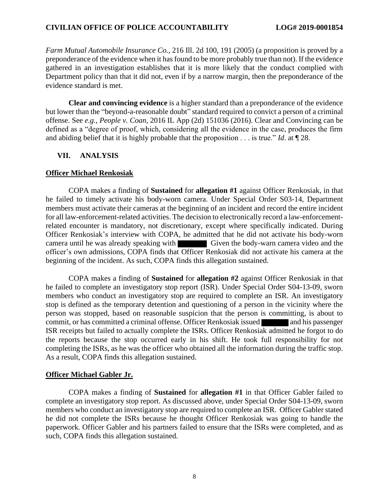*Farm Mutual Automobile Insurance Co.*, 216 Ill. 2d 100, 191 (2005) (a proposition is proved by a preponderance of the evidence when it has found to be more probably true than not). If the evidence gathered in an investigation establishes that it is more likely that the conduct complied with Department policy than that it did not, even if by a narrow margin, then the preponderance of the evidence standard is met.

**Clear and convincing evidence** is a higher standard than a preponderance of the evidence but lower than the "beyond-a-reasonable doubt" standard required to convict a person of a criminal offense. See *e.g.*, *People v. Coan*, 2016 IL App (2d) 151036 (2016). Clear and Convincing can be defined as a "degree of proof, which, considering all the evidence in the case, produces the firm and abiding belief that it is highly probable that the proposition . . . is true." *Id*. at ¶ 28.

### **VII. ANALYSIS**

#### **Officer Michael Renkosiak**

COPA makes a finding of **Sustained** for **allegation #1** against Officer Renkosiak, in that he failed to timely activate his body-worn camera. Under Special Order S03-14, Department members must activate their cameras at the beginning of an incident and record the entire incident for all law-enforcement-related activities. The decision to electronically record a law-enforcementrelated encounter is mandatory, not discretionary, except where specifically indicated. During Officer Renkosiak's interview with COPA, he admitted that he did not activate his body-worn camera until he was already speaking with Given the body-warn camera video and the officer's own admissions, COPA finds that Officer Renkosiak did not activate his camera at the beginning of the incident. As such, COPA finds this allegation sustained.

COPA makes a finding of **Sustained** for **allegation #2** against Officer Renkosiak in that he failed to complete an investigatory stop report (ISR). Under Special Order S04-13-09, sworn members who conduct an investigatory stop are required to complete an ISR. An investigatory stop is defined as the temporary detention and questioning of a person in the vicinity where the person was stopped, based on reasonable suspicion that the person is committing, is about to commit, or has committed a criminal offense. Officer Renkosiak issued and his passenger ISR receipts but failed to actually complete the ISRs. Officer Renkosiak admitted he forgot to do the reports because the stop occurred early in his shift. He took full responsibility for not completing the ISRs, as he was the officer who obtained all the information during the traffic stop. As a result, COPA finds this allegation sustained.

#### **Officer Michael Gabler Jr.**

COPA makes a finding of **Sustained** for **allegation #1** in that Officer Gabler failed to complete an investigatory stop report. As discussed above, under Special Order S04-13-09, sworn members who conduct an investigatory stop are required to complete an ISR. Officer Gabler stated he did not complete the ISRs because he thought Officer Renkosiak was going to handle the paperwork. Officer Gabler and his partners failed to ensure that the ISRs were completed, and as such, COPA finds this allegation sustained.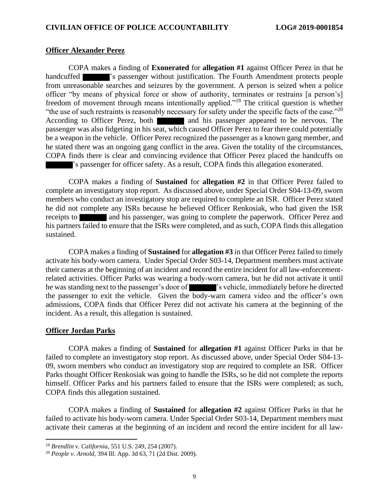#### **Officer Alexander Perez**

COPA makes a finding of **Exonerated** for **allegation #1** against Officer Perez in that he handcuffed **The State of State State is passenger without justification.** The Fourth Amendment protects people from unreasonable searches and seizures by the government. A person is seized when a police officer "by means of physical force or show of authority, terminates or restrains [a person's] freedom of movement through means intentionally applied."<sup>19</sup> The critical question is whether "the use of such restraints is reasonably necessary for safety under the specific facts of the case."<sup>20</sup> According to Officer Perez, both and his passenger appeared to be nervous. The passenger was also fidgeting in his seat, which caused Officer Perez to fear there could potentially be a weapon in the vehicle. Officer Perez recognized the passenger as a known gang member, and he stated there was an ongoing gang conflict in the area. Given the totality of the circumstances, COPA finds there is clear and convincing evidence that Officer Perez placed the handcuffs on 's passenger for officer safety. As a result, COPA finds this allegation exonerated.

COPA makes a finding of **Sustained** for **allegation #2** in that Officer Perez failed to complete an investigatory stop report. As discussed above, under Special Order S04-13-09, sworn members who conduct an investigatory stop are required to complete an ISR. Officer Perez stated he did not complete any ISRs because he believed Officer Renkosiak, who had given the ISR receipts to and his passenger, was going to complete the paperwork. Officer Perez and his partners failed to ensure that the ISRs were completed, and as such, COPA finds this allegation sustained.

COPA makes a finding of **Sustained** for **allegation #3** in that Officer Perez failed to timely activate his body-worn camera. Under Special Order S03-14, Department members must activate their cameras at the beginning of an incident and record the entire incident for all law-enforcementrelated activities. Officer Parks was wearing a body-worn camera, but he did not activate it until he was standing next to the passenger's door of 's vehicle, immediately before he directed the passenger to exit the vehicle. Given the body-warn camera video and the officer's own admissions, COPA finds that Officer Perez did not activate his camera at the beginning of the incident. As a result, this allegation is sustained.

#### **Officer Jordan Parks**

COPA makes a finding of **Sustained** for **allegation #1** against Officer Parks in that he failed to complete an investigatory stop report. As discussed above, under Special Order S04-13- 09, sworn members who conduct an investigatory stop are required to complete an ISR. Officer Parks thought Officer Renkosiak was going to handle the ISRs, so he did not complete the reports himself. Officer Parks and his partners failed to ensure that the ISRs were completed; as such, COPA finds this allegation sustained.

COPA makes a finding of **Sustained** for **allegation #2** against Officer Parks in that he failed to activate his body-worn camera. Under Special Order S03-14, Department members must activate their cameras at the beginning of an incident and record the entire incident for all law-

<sup>19</sup> *Brendlin v. California*[, 551 U.S. 249, 254 \(2007\).](https://advance.lexis.com/document/?pdmfid=1000516&crid=674a0861-6bc2-4d77-af80-8e2150afb22b&pddocfullpath=%2Fshared%2Fdocument%2Fanalytical-materials%2Furn%3AcontentItem%3A52BP-7MW0-R03N-P0H6-00000-00&pdtocnodeidentifier=N100EB&ecomp=q73tk&prid=0ec2f730-8e9a-4ba3-83af-99b3c1e6909a)

<sup>20</sup> *People v. Arnold*, 394 Ill. App. 3d 63, 71 (2d Dist. 2009).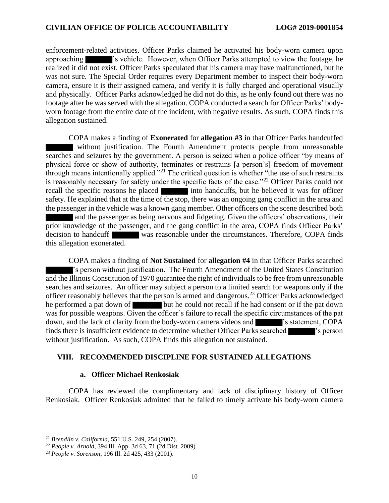enforcement-related activities. Officer Parks claimed he activated his body-worn camera upon approaching 's vehicle. However, when Officer Parks attempted to view the footage, he realized it did not exist. Officer Parks speculated that his camera may have malfunctioned, but he was not sure. The Special Order requires every Department member to inspect their body-worn camera, ensure it is their assigned camera, and verify it is fully charged and operational visually and physically. Officer Parks acknowledged he did not do this, as he only found out there was no footage after he was served with the allegation. COPA conducted a search for Officer Parks' bodyworn footage from the entire date of the incident, with negative results. As such, COPA finds this allegation sustained.

COPA makes a finding of **Exonerated** for **allegation #3** in that Officer Parks handcuffed without justification. The Fourth Amendment protects people from unreasonable searches and seizures by the government. A person is seized when a police officer "by means of physical force or show of authority, terminates or restrains [a person's] freedom of movement through means intentionally applied."<sup>21</sup> The critical question is whether "the use of such restraints is reasonably necessary for safety under the specific facts of the case."<sup>22</sup> Officer Parks could not recall the specific reasons he placed into handcuffs, but he believed it was for officer safety. He explained that at the time of the stop, there was an ongoing gang conflict in the area and the passenger in the vehicle was a known gang member. Other officers on the scene described both and the passenger as being nervous and fidgeting. Given the officers' observations, their prior knowledge of the passenger, and the gang conflict in the area, COPA finds Officer Parks'

decision to handcuff was reasonable under the circumstances. Therefore, COPA finds this allegation exonerated.

COPA makes a finding of **Not Sustained** for **allegation #4** in that Officer Parks searched 's person without justification. The Fourth Amendment of the United States Constitution and the Illinois Constitution of 1970 guarantee the right of individuals to be free from unreasonable searches and seizures. An officer may subject a person to a limited search for weapons only if the officer reasonably believes that the person is armed and dangerous.<sup>23</sup> Officer Parks acknowledged he performed a pat down of but he could not recall if he had consent or if the pat down was for possible weapons. Given the officer's failure to recall the specific circumstances of the pat down, and the lack of clarity from the body-worn camera videos and **Fig. 2003**'s statement, COPA finds there is insufficient evidence to determine whether Officer Parks searched  $\blacksquare$  's person without justification. As such, COPA finds this allegation not sustained.

#### **VIII. RECOMMENDED DISCIPLINE FOR SUSTAINED ALLEGATIONS**

#### **a. Officer Michael Renkosiak**

COPA has reviewed the complimentary and lack of disciplinary history of Officer Renkosiak. Officer Renkosiak admitted that he failed to timely activate his body-worn camera

<sup>21</sup> *Brendlin v. California*[, 551 U.S. 249, 254 \(2007\).](https://advance.lexis.com/document/?pdmfid=1000516&crid=674a0861-6bc2-4d77-af80-8e2150afb22b&pddocfullpath=%2Fshared%2Fdocument%2Fanalytical-materials%2Furn%3AcontentItem%3A52BP-7MW0-R03N-P0H6-00000-00&pdtocnodeidentifier=N100EB&ecomp=q73tk&prid=0ec2f730-8e9a-4ba3-83af-99b3c1e6909a)

<sup>22</sup> *People v. Arnold*, 394 Ill. App. 3d 63, 71 (2d Dist. 2009).

<sup>23</sup> *People v. Sorenson*, 196 Ill. 2d 425, 433 (2001).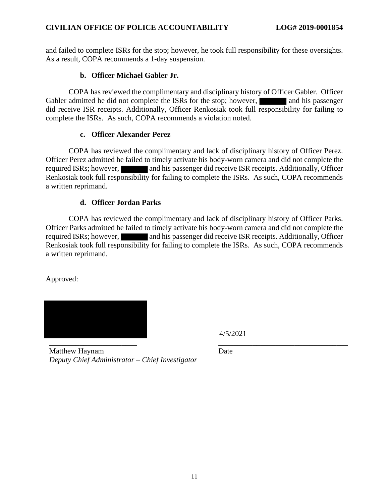and failed to complete ISRs for the stop; however, he took full responsibility for these oversights. As a result, COPA recommends a 1-day suspension.

### **b. Officer Michael Gabler Jr.**

COPA has reviewed the complimentary and disciplinary history of Officer Gabler. Officer Gabler admitted he did not complete the ISRs for the stop; however, and his passenger did receive ISR receipts. Additionally, Officer Renkosiak took full responsibility for failing to complete the ISRs. As such, COPA recommends a violation noted.

### **c. Officer Alexander Perez**

COPA has reviewed the complimentary and lack of disciplinary history of Officer Perez. Officer Perez admitted he failed to timely activate his body-worn camera and did not complete the required ISRs; however, and his passenger did receive ISR receipts. Additionally, Officer Renkosiak took full responsibility for failing to complete the ISRs. As such, COPA recommends a written reprimand.

### **d. Officer Jordan Parks**

COPA has reviewed the complimentary and lack of disciplinary history of Officer Parks. Officer Parks admitted he failed to timely activate his body-worn camera and did not complete the required ISRs; however, and his passenger did receive ISR receipts. Additionally, Officer Renkosiak took full responsibility for failing to complete the ISRs. As such, COPA recommends a written reprimand.

Approved:



4/5/2021

Matthew Haynam *Deputy Chief Administrator – Chief Investigator* Date